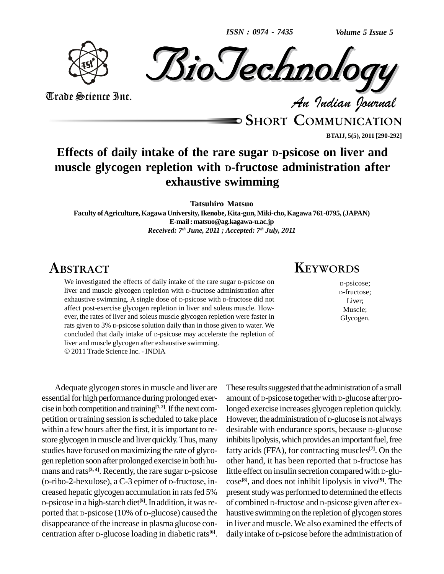*ISSN : 0974 - 7435*

*Volume 5 Issue 5*





Trade Science Inc. Trade Science Inc.

**SHORT COMMUNICATION BTAIJ, 5(5), 2011 [290-292]**

## **Effects of daily intake of the rare sugar <sup>D</sup>-psicose on liver and muscle glycogen repletion with <sup>D</sup>-fructose administration after exhaustive swimming**

**Tatsuhiro Matsuo**

**Faculty ofAgriculture,Kagawa University,Ikenobe, Kita-gun, Miki-cho,Kagawa 761-0795,(JAPAN) E-mail:[matsuo@ag.kagawa-u.ac.jp](mailto:matsuo@ag.kagawa-u.ac.jp)** *Received: 7 th June, 2011 ; Accepted: 7 th July, 2011*

## **ABSTRACT**

We investigated the effects of daily intake of the rare sugar D-psicose on liver and muscle glycogen repletion with <sup>D</sup>-fructose administration after exhaustive swimming. A single dose of <sup>D</sup>-psicose with <sup>D</sup>-fructose did not affect post-exercise glycogen repletion in liver and soleus muscle. How ever, the rates of liver and soleus muscle glycogen repletion were faster in rats given to 3% <sup>D</sup>-psicose solution daily than in those given to water. We concluded that daily intake of <sup>D</sup>-psicose may accelerate the repletion of liver and muscle glycogen after exhaustive swimming. 2011 Trade Science Inc. - INDIA

Adequate glycogen stores in muscle and liver are essential for high performance during prolonged exercise in both competition and training<sup>[1, 2]</sup>. If the next com- long petition or training session is scheduled to take place within a few hours after the first, it is important to restore glycogen in muscle and liver quickly. Thus, many studies have focused on maximizing the rate of glyco gen repletion soon after prolonged exercise in both hu mans and rats<sup>[3, 4]</sup>. Recently, the rare sugar D-psicose little e (D-ribo-2-hexulose), a C-3 epimer of D-fructose, in creased hepatic glycogen accumulation in ratsfed 5% D-psicose in a high-starch diet<sup>[5]</sup>. In addition, it was re- of c ported that D-psicose (10% of D-glucose) caused the disappearance of the increase in plasma glucose concentration after <sup>D</sup>-glucose loading in diabetic rats **[6]**.

#### These results suggested that the administration of a small amount of <sup>D</sup>-psicose together with <sup>D</sup>-glucose after prolonged exercise increases glycogen repletion quickly. However, the administration of <sup>D</sup>-glucose is not always desirable with endurance sports, because <sup>D</sup>-glucose inhibits lipolysis, which provides an important fuel, free fatty acids (FFA), for contracting muscles **[7]**. On the other hand, it has been reported that <sup>D</sup>-fructose has little effect on insulin secretion compared with <sup>D</sup>-glu cose **[8]**, and does not inhibit lipolysis in vivo **[9]**. The present study was performed to determined the effects of combined D-fructose and D-psicose given after ex haustive swimmingon the repletion of glycogen stores in liver and muscle. We also examined the effects of daily intake of <sup>D</sup>-psicose before the administration of

# **KEYWORDS**

<sup>D</sup>-psicose; <sup>D</sup>-fructose; Liver; Muscle; Glycogen.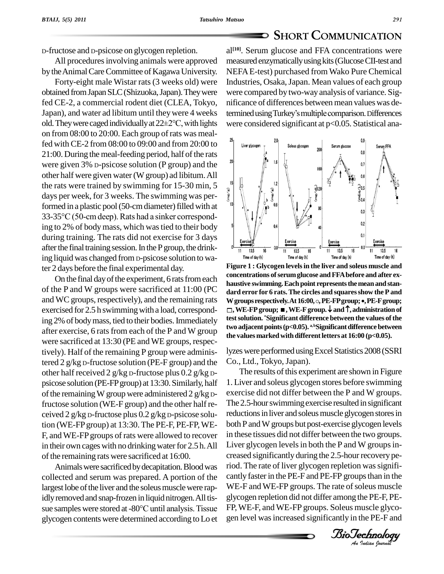### **SHORT COMMUNICATION**

D-fructose and D-psicose on glycogen repletion.

All procedures involving animals were approved by the Animal Care Committee of Kagawa University.

Forty-eight male Wistar rats(3 weeks old) were obtained fromJapanSLC(Shizuoka,Japan).Theywere fed CE-2, a commercial rodent diet (CLEA, Tokyo, nific<br>Japan), and water ad libitum until they were 4 weeks termi<br>old. They were caged individually at  $22\pm2^{\circ}\text{C}$ , with lights were on from 08:00 to 20:00. Each group ofrats was mealfed with CE-2 from 08:00 to 09:00 and from 20:00 to  $\frac{10}{2}$  Liver glycoge  $21:00$ . During the meal-feeding period, half of the rats were given 3% D-psicose solution (P group) and the other half were given water (Wgroup) ad libitum.All the rats were trained by swimming for 15-30 min, 5 days per week, for 3 weeks. The swimming was perdays per week, for 3 weeks. The swimming was per-<br>formed in a plastic pool (50-cm diameter) filled with at<br>33-35°C (50-cm deep). Rats had a sinker correspondformed in a plastic pool (50-cm diameter) filled with at ing to 2% of bodymass, which wastied to their body during training. The rats did not exercise for 3 days after the final training session. In the P group, the drinking liquid was changed from  $D$ -psicose solution to water 2 days before the final experimental day.

On the final day of the experiment, 6 rats from each of the P and W groups were sacrificed at 11:00 (PC exercised for 2.5 h swimming with a load, corresponding 2% of bodymass, tied to their bodies.Immediately after exercise, 6 rats from each of the P and W group were sacrificed at 13:30 (PE and WE groups, respectively). Half of the remaining P group were administered 2 g/kg <sup>D</sup>-fructose solution (PE-F group) and the other half received 2 g/kg <sup>D</sup>-fructose plus 0.2 g/kg <sup>D</sup> psicose solution (PE-FPgroup) at 13:30.Similarly, half of the remaining W group were administered  $2 g/kg$  Dfructose solution (WE-F group) and the other half re ceived 2 g/kg <sup>D</sup>-fructose plus 0.2 g/kg <sup>D</sup>-psicose solution (WE-FPgroup) at 13:30.The PE-F, PE-FP,WE- F, andWE-FPgroups of rats were allowed to recover in their own cages with no drinking water for 2.5 h. All of the remaining rats were sacrificed at 16:00.

Animals were sacrificed by decapitation. Blood was collected and serum was prepared. A portion of the largest lobe of the liver and the soleus muscle were rapidly removed and snap-frozen in liquid nitrogen. All tis-<br>glyc largest lobe of the liver and the soleus muscle were rap-<br>idly removed and snap-frozen in liquid nitrogen. All tis-<br>sue samples were stored at -80°C until analysis. Tissue FP, W glycogen contentswere determined according toLo et

Japan), and water ad libitum until they were 4 weeks termined using Turkey's multiple comparison. Differences al **[10]**. Serum glucose and FFA concentrations were measured enzymatically using kits (Glucose CII-test and NEFAE-test) purchased from Wako Pure Chemical Industries, Osaka, Japan. Mean values of each group were compared by two-way analysis of variance. Sig-<br>nificance of differences between mean values was de-<br>termined using Turkey's multiple comparison. Differences nificance of differences between mean valueswas dewere considered significant at  $p<0.05$ . Statistical ana-



and WC groups, respectively), and the remaining rats W groups respectively. At 16:00,  $\circ$ , PE-F group; •, PE-F group; **Figure 1 : Glycogen levelsin the liver and soleus muscle and concentrations ofserumglucose andFFAbefore and after ex haustive** swimming. Each point represents the mean and stan-<br>dard error for 6 rats. The circles and squares show the P and<br>W groups respectively. At 16:00,  $\circ$ , PE-FP group; •, PE-F group; **dard error for 6 rats.The circles and squaresshow the P and ,WE-FPgroup;,WE-Fgroup. and,administrationof testsolution. \*Significant difference between the values ofthe** two adjacent points (p<0.05). <sup>a,b</sup>Significant difference between **the** values marked with different letters at  $16:00$  (p<0.05).

lyzes were performed using Excel Statistics 2008 (SSRI Co., Ltd., Tokyo, Japan).

 $B_1$  exerging  $B_2$  is the boundary during the 2.5-hourrecovery pe-WE-F and WE-FP groups. The rate of soleus muscle The results of this experiment are shown in Figure 1. Liver and soleus glycogen stores before swimming exercise did not differ between the P and W groups. The 2.5-hour swimming exercise resulted in significant reductions in liver and soleus muscle glycogen stores in both P and W groups but post-exercise glycogen levels in these tissues did not differ between the two groups. Liver glycogen levels in both the P and W groups inriod. The rate of liver glycogen repletion was significantly faster in the PE-F and PE-FP groups than in the glycogen repletion did not differ among the PE-F, PE- FP,WE-F, and WE-FP groups. Soleus muscle glyco gen level wasincreased significantly in the PE-F and

*Indian Journal*